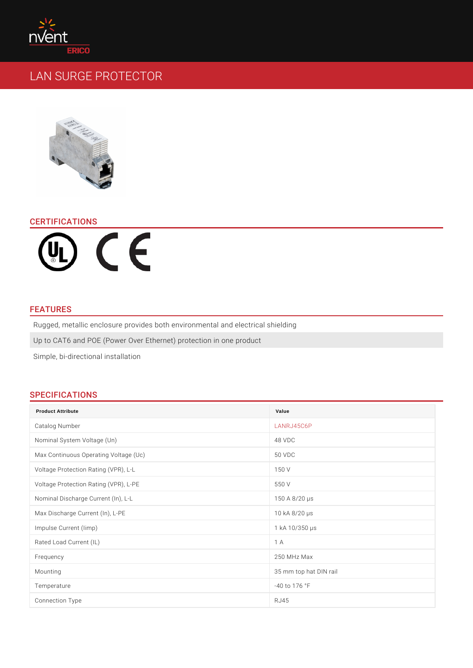# CERTIFICATIONS

## FEATURES

Rugged, metallic enclosure provides both environmental and electrical shielding Up to CAT6 and POE (Power Over Ethernet) protection in one product Simple, bi-directional installation

# SPECIFICATIONS

| <b>Product Attribute</b>              | Value                         |
|---------------------------------------|-------------------------------|
| Catalog Number                        | LANRJ45C6P                    |
| Nominal System Voltage (Un)           | 48 VDC                        |
| Max Continuous Operating Voltage (Uc) | 50 VDC                        |
| Voltage Protection Rating (VPR), L-L  | 150 V                         |
| Voltage Protection Rating (VPR), L-PE | 550 V                         |
| Nominal Discharge Current (In), L-L   | 150 A 8/20 ¼s                 |
| Max Discharge Current (In), L-PE      | 10 kA 8/20 ¼s                 |
| Impulse Current (limp)                | 1 $kA$ 10/350 $\frac{1}{4}$ s |
| Rated Load Current (IL)               | $1 \text{ A}$                 |
| Frequency                             | 250 MHz Max                   |
| Mounting                              | 35 mm top hat DIN rail        |
| Temperature                           | $-40$ to 176 °F               |
| Connection Type                       | R J 45                        |